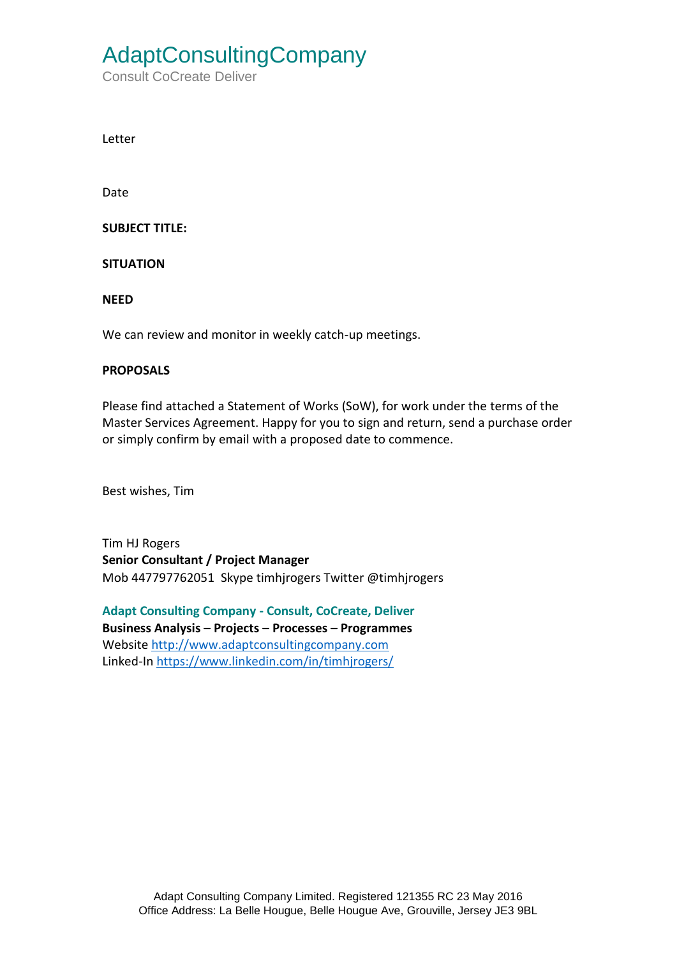# AdaptConsultingCompany

Consult CoCreate Deliver

Letter

Date

**SUBJECT TITLE:** 

**SITUATION**

**NEED**

We can review and monitor in weekly catch-up meetings.

#### **PROPOSALS**

Please find attached a Statement of Works (SoW), for work under the terms of the Master Services Agreement. Happy for you to sign and return, send a purchase order or simply confirm by email with a proposed date to commence.

Best wishes, Tim

Tim HJ Rogers **Senior Consultant / Project Manager** Mob 447797762051 Skype timhjrogers Twitter @timhjrogers

**Adapt Consulting Company - Consult, CoCreate, Deliver Business Analysis – Projects – Processes – Programmes** Website [http://www.adaptconsultingcompany.com](http://www.adaptconsultingcompany.com/) Linked-In<https://www.linkedin.com/in/timhjrogers/>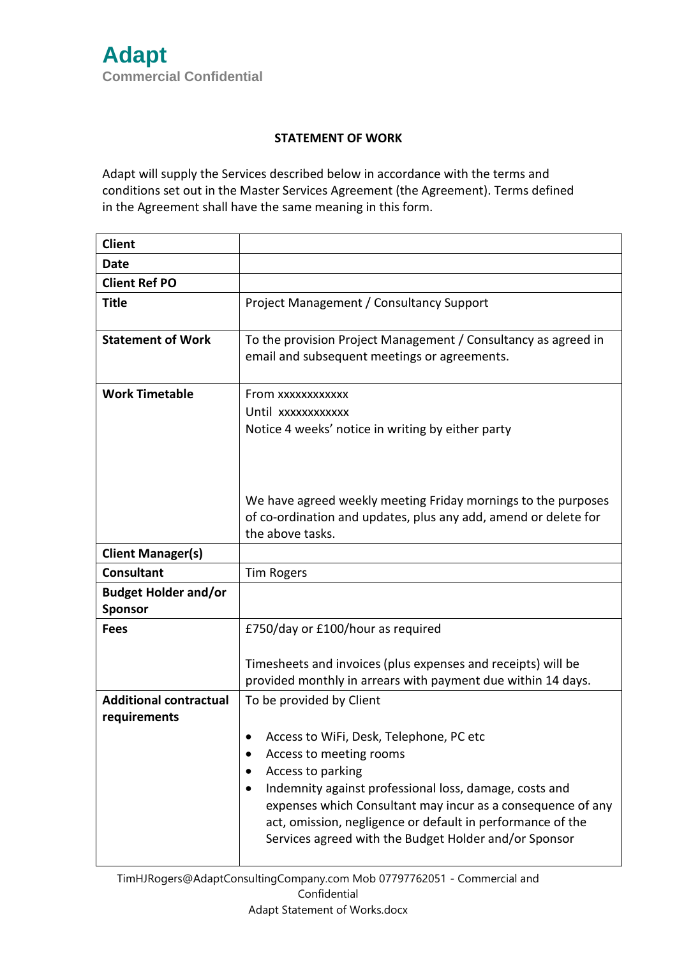#### **STATEMENT OF WORK**

Adapt will supply the Services described below in accordance with the terms and conditions set out in the Master Services Agreement (the Agreement). Terms defined in the Agreement shall have the same meaning in this form.

| <b>Client</b>                                 |                                                                                                                                                                                                                                                                                                                                                                     |
|-----------------------------------------------|---------------------------------------------------------------------------------------------------------------------------------------------------------------------------------------------------------------------------------------------------------------------------------------------------------------------------------------------------------------------|
| Date                                          |                                                                                                                                                                                                                                                                                                                                                                     |
| <b>Client Ref PO</b>                          |                                                                                                                                                                                                                                                                                                                                                                     |
| <b>Title</b>                                  | Project Management / Consultancy Support                                                                                                                                                                                                                                                                                                                            |
| <b>Statement of Work</b>                      | To the provision Project Management / Consultancy as agreed in<br>email and subsequent meetings or agreements.                                                                                                                                                                                                                                                      |
| <b>Work Timetable</b>                         | From xxxxxxxxxxxx<br>Until xxxxxxxxxxx<br>Notice 4 weeks' notice in writing by either party                                                                                                                                                                                                                                                                         |
|                                               | We have agreed weekly meeting Friday mornings to the purposes<br>of co-ordination and updates, plus any add, amend or delete for<br>the above tasks.                                                                                                                                                                                                                |
| <b>Client Manager(s)</b>                      |                                                                                                                                                                                                                                                                                                                                                                     |
| <b>Consultant</b>                             | <b>Tim Rogers</b>                                                                                                                                                                                                                                                                                                                                                   |
| <b>Budget Holder and/or</b><br>Sponsor        |                                                                                                                                                                                                                                                                                                                                                                     |
| <b>Fees</b>                                   | £750/day or £100/hour as required                                                                                                                                                                                                                                                                                                                                   |
|                                               | Timesheets and invoices (plus expenses and receipts) will be<br>provided monthly in arrears with payment due within 14 days.                                                                                                                                                                                                                                        |
| <b>Additional contractual</b><br>requirements | To be provided by Client<br>Access to WiFi, Desk, Telephone, PC etc<br>Access to meeting rooms<br>Access to parking<br>Indemnity against professional loss, damage, costs and<br>expenses which Consultant may incur as a consequence of any<br>act, omission, negligence or default in performance of the<br>Services agreed with the Budget Holder and/or Sponsor |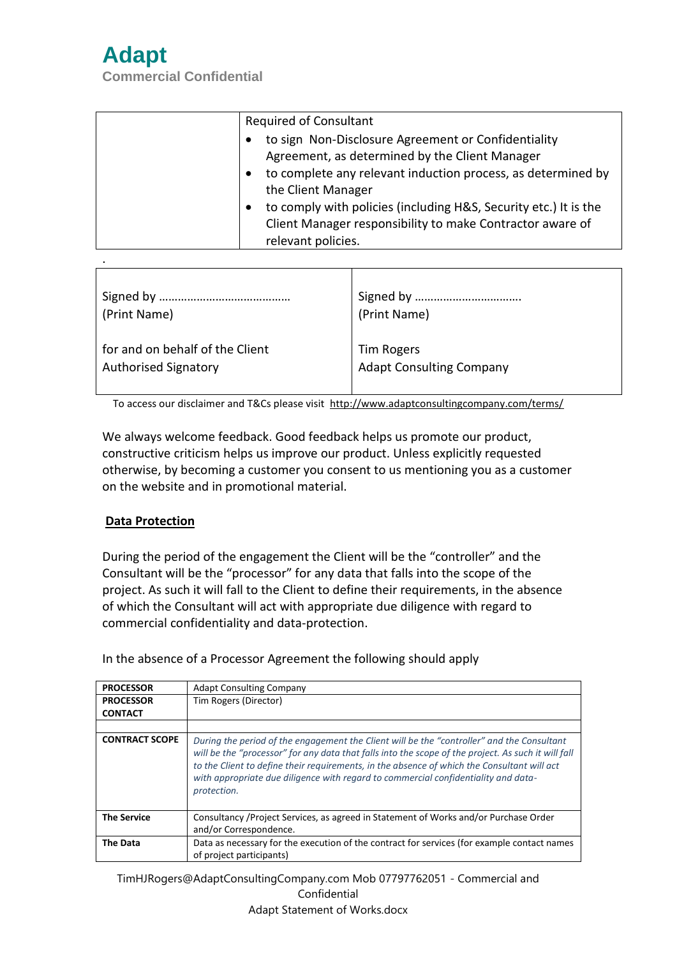

.

**Commercial Confidential**

| <b>Required of Consultant</b>                                                                                                                       |
|-----------------------------------------------------------------------------------------------------------------------------------------------------|
| to sign Non-Disclosure Agreement or Confidentiality<br>Agreement, as determined by the Client Manager                                               |
| to complete any relevant induction process, as determined by<br>$\bullet$<br>the Client Manager                                                     |
| to comply with policies (including H&S, Security etc.) It is the<br>Client Manager responsibility to make Contractor aware of<br>relevant policies. |

| (Print Name)                    | (Print Name)                    |
|---------------------------------|---------------------------------|
| for and on behalf of the Client | Tim Rogers                      |
| <b>Authorised Signatory</b>     | <b>Adapt Consulting Company</b> |

To access our disclaimer and T&Cs please visit <http://www.adaptconsultingcompany.com/terms/>

We always welcome feedback. Good feedback helps us promote our product, constructive criticism helps us improve our product. Unless explicitly requested otherwise, by becoming a customer you consent to us mentioning you as a customer on the website and in promotional material.

### **Data Protection**

During the period of the engagement the Client will be the "controller" and the Consultant will be the "processor" for any data that falls into the scope of the project. As such it will fall to the Client to define their requirements, in the absence of which the Consultant will act with appropriate due diligence with regard to commercial confidentiality and data-protection.

In the absence of a Processor Agreement the following should apply

| <b>PROCESSOR</b>      | <b>Adapt Consulting Company</b>                                                                                                                                                                                                                                                                                                                                                                       |
|-----------------------|-------------------------------------------------------------------------------------------------------------------------------------------------------------------------------------------------------------------------------------------------------------------------------------------------------------------------------------------------------------------------------------------------------|
| <b>PROCESSOR</b>      | Tim Rogers (Director)                                                                                                                                                                                                                                                                                                                                                                                 |
| <b>CONTACT</b>        |                                                                                                                                                                                                                                                                                                                                                                                                       |
|                       |                                                                                                                                                                                                                                                                                                                                                                                                       |
| <b>CONTRACT SCOPE</b> | During the period of the engagement the Client will be the "controller" and the Consultant<br>will be the "processor" for any data that falls into the scope of the project. As such it will fall<br>to the Client to define their requirements, in the absence of which the Consultant will act<br>with appropriate due diligence with regard to commercial confidentiality and data-<br>protection. |
| <b>The Service</b>    | Consultancy / Project Services, as agreed in Statement of Works and/or Purchase Order<br>and/or Correspondence.                                                                                                                                                                                                                                                                                       |
| <b>The Data</b>       | Data as necessary for the execution of the contract for services (for example contact names<br>of project participants)                                                                                                                                                                                                                                                                               |

TimHJRogers@AdaptConsultingCompany.com Mob 07797762051 - Commercial and Confidential Adapt Statement of Works.docx